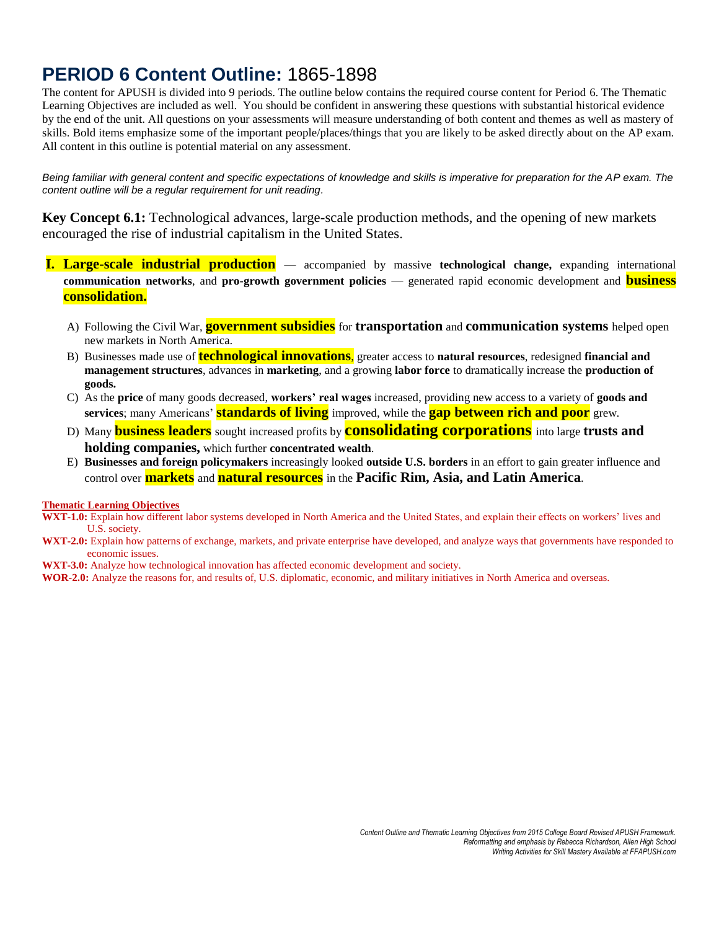# **PERIOD 6 Content Outline:** 1865-1898

The content for APUSH is divided into 9 periods. The outline below contains the required course content for Period 6. The Thematic Learning Objectives are included as well. You should be confident in answering these questions with substantial historical evidence by the end of the unit. All questions on your assessments will measure understanding of both content and themes as well as mastery of skills. Bold items emphasize some of the important people/places/things that you are likely to be asked directly about on the AP exam. All content in this outline is potential material on any assessment.

*Being familiar with general content and specific expectations of knowledge and skills is imperative for preparation for the AP exam. The content outline will be a regular requirement for unit reading.*

**Key Concept 6.1:** Technological advances, large-scale production methods, and the opening of new markets encouraged the rise of industrial capitalism in the United States.

- **I. Large-scale industrial production** accompanied by massive **technological change,** expanding international **communication networks**, and **pro-growth government policies** — generated rapid economic development and **business consolidation.** 
	- A) Following the Civil War, **government subsidies** for **transportation** and **communication systems** helped open new markets in North America.
	- B) Businesses made use of **technological innovations**, greater access to **natural resources**, redesigned **financial and management structures**, advances in **marketing**, and a growing **labor force** to dramatically increase the **production of goods.**
	- C) As the **price** of many goods decreased, **workers' real wages** increased, providing new access to a variety of **goods and services**; many Americans' **standards of living** improved, while the **gap between rich and poor** grew.
	- D) Many **business leaders** sought increased profits by **consolidating corporations** into large **trusts and holding companies,** which further **concentrated wealth**.
	- E) **Businesses and foreign policymakers** increasingly looked **outside U.S. borders** in an effort to gain greater influence and control over **markets** and **natural resources** in the **Pacific Rim, Asia, and Latin America**.

## **Thematic Learning Objectives**

**WXT-1.0:** Explain how different labor systems developed in North America and the United States, and explain their effects on workers' lives and U.S. society.

- **WXT-2.0:** Explain how patterns of exchange, markets, and private enterprise have developed, and analyze ways that governments have responded to economic issues.
- **WXT-3.0:** Analyze how technological innovation has affected economic development and society.
- **WOR-2.0:** Analyze the reasons for, and results of, U.S. diplomatic, economic, and military initiatives in North America and overseas.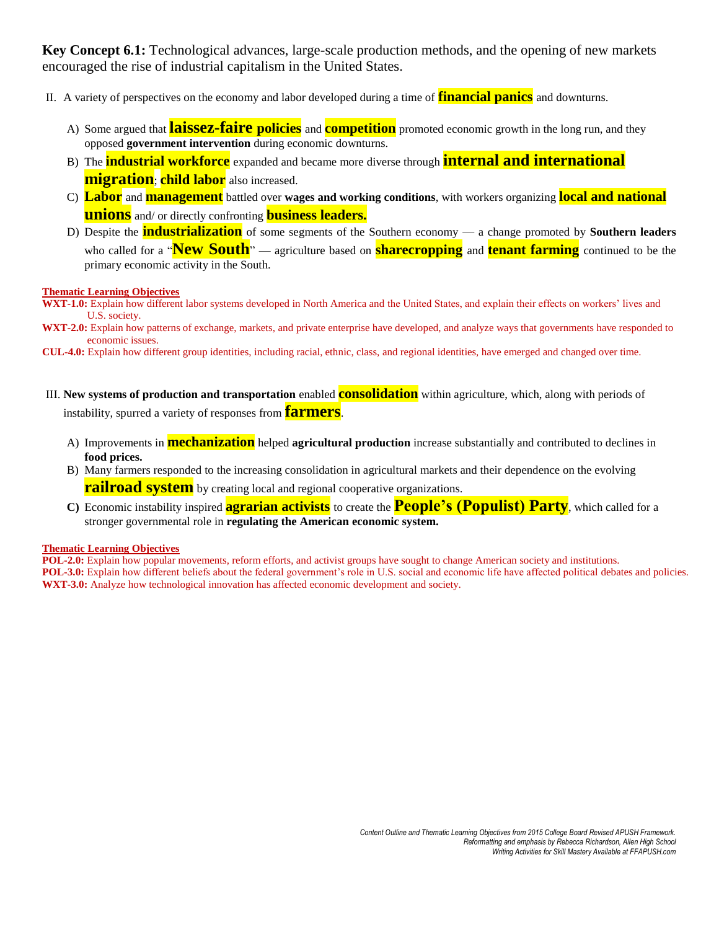**Key Concept 6.1:** Technological advances, large-scale production methods, and the opening of new markets encouraged the rise of industrial capitalism in the United States.

- II. A variety of perspectives on the economy and labor developed during a time of **financial panics** and downturns.
	- A) Some argued that **laissez-faire policies** and **competition** promoted economic growth in the long run, and they opposed **government intervention** during economic downturns.
	- B) The **industrial workforce** expanded and became more diverse through **internal and international migration**; **child labor** also increased.
	- C) **Labor** and **management** battled over **wages and working conditions**, with workers organizing **local and national unions** and/ or directly confronting **business leaders.**
	- D) Despite the **industrialization** of some segments of the Southern economy a change promoted by **Southern leaders** who called for a "**New South**" — agriculture based on **sharecropping** and **tenant farming** continued to be the primary economic activity in the South.

## **Thematic Learning Objectives**

- WXT-1.0: Explain how different labor systems developed in North America and the United States, and explain their effects on workers' lives and U.S. society.
- **WXT-2.0:** Explain how patterns of exchange, markets, and private enterprise have developed, and analyze ways that governments have responded to economic issues.
- **CUL-4.0:** Explain how different group identities, including racial, ethnic, class, and regional identities, have emerged and changed over time.
- III. **New systems of production and transportation** enabled **consolidation** within agriculture, which, along with periods of instability, spurred a variety of responses from **farmers**.
	- A) Improvements in **mechanization** helped **agricultural production** increase substantially and contributed to declines in **food prices.**
	- B) Many farmers responded to the increasing consolidation in agricultural markets and their dependence on the evolving **railroad system** by creating local and regional cooperative organizations.
	- **C)** Economic instability inspired **agrarian activists** to create the **People's (Populist) Party**, which called for a stronger governmental role in **regulating the American economic system.**

## **Thematic Learning Objectives**

**POL-2.0:** Explain how popular movements, reform efforts, and activist groups have sought to change American society and institutions. **POL-3.0:** Explain how different beliefs about the federal government's role in U.S. social and economic life have affected political debates and policies. **WXT-3.0:** Analyze how technological innovation has affected economic development and society.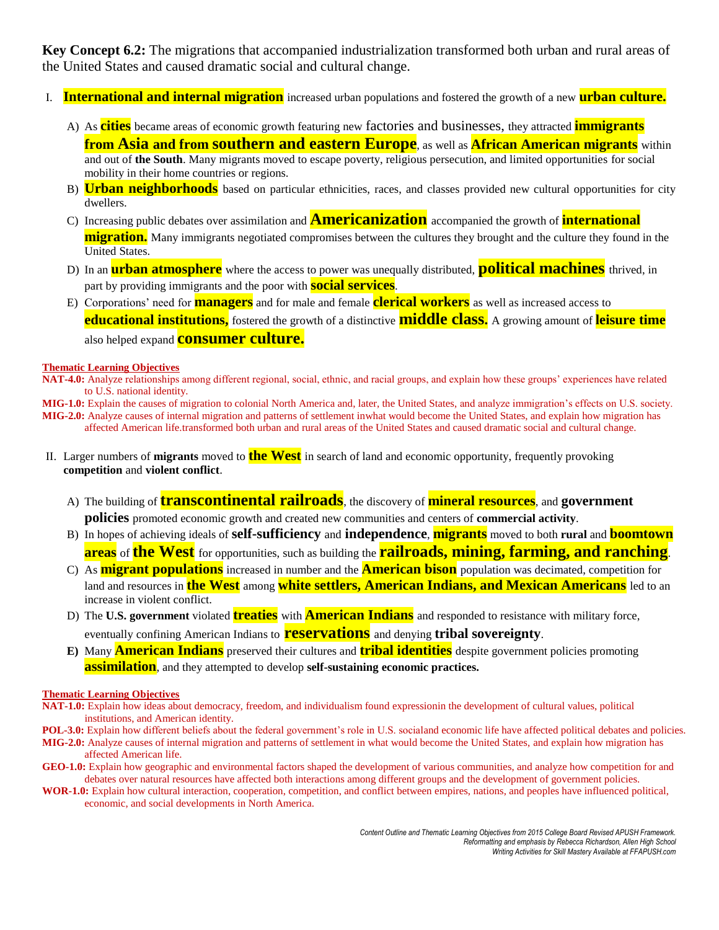**Key Concept 6.2:** The migrations that accompanied industrialization transformed both urban and rural areas of the United States and caused dramatic social and cultural change.

- I. **International and internal migration** increased urban populations and fostered the growth of a new **urban culture.**
	- A) As **cities** became areas of economic growth featuring new factories and businesses, they attracted **immigrants from Asia and from southern and eastern Europe**, as well as **African American migrants** within and out of **the South**. Many migrants moved to escape poverty, religious persecution, and limited opportunities for social mobility in their home countries or regions.
	- B) **Urban neighborhoods** based on particular ethnicities, races, and classes provided new cultural opportunities for city dwellers.
	- C) Increasing public debates over assimilation and **Americanization** accompanied the growth of **international migration.** Many immigrants negotiated compromises between the cultures they brought and the culture they found in the United States.
	- D) In an **urban atmosphere** where the access to power was unequally distributed, **political machines** thrived, in part by providing immigrants and the poor with **social services**.
	- E) Corporations' need for **managers** and for male and female **clerical workers** as well as increased access to **educational institutions,** fostered the growth of a distinctive **middle class.** A growing amount of **leisure time** also helped expand **consumer culture.**

## **Thematic Learning Objectives**

**NAT-4.0:** Analyze relationships among different regional, social, ethnic, and racial groups, and explain how these groups' experiences have related to U.S. national identity.

**MIG-1.0:** Explain the causes of migration to colonial North America and, later, the United States, and analyze immigration's effects on U.S. society. **MIG-2.0:** Analyze causes of internal migration and patterns of settlement inwhat would become the United States, and explain how migration has

affected American life.transformed both urban and rural areas of the United States and caused dramatic social and cultural change.

- II. Larger numbers of **migrants** moved to **the West** in search of land and economic opportunity, frequently provoking **competition** and **violent conflict**.
	- A) The building of **transcontinental railroads**, the discovery of **mineral resources**, and **government policies** promoted economic growth and created new communities and centers of **commercial activity**.
	- B) In hopes of achieving ideals of **self-sufficiency** and **independence**, **migrants** moved to both **rural** and **boomtown areas** of **the West** for opportunities, such as building the **railroads, mining, farming, and ranching**.
	- C) As **migrant populations** increased in number and the **American bison** population was decimated, competition for land and resources in **the West** among **white settlers, American Indians, and Mexican Americans** led to an increase in violent conflict.
	- D) The **U.S. government** violated **treaties** with **American Indians** and responded to resistance with military force, eventually confining American Indians to **reservations** and denying **tribal sovereignty**.
	- **E)** Many **American Indians** preserved their cultures and **tribal identities** despite government policies promoting **assimilation**, and they attempted to develop **self-sustaining economic practices.**

## **Thematic Learning Objectives**

- **NAT-1.0:** Explain how ideas about democracy, freedom, and individualism found expressionin the development of cultural values, political institutions, and American identity.
- POL-3.0: Explain how different beliefs about the federal government's role in U.S. socialand economic life have affected political debates and policies. **MIG-2.0:** Analyze causes of internal migration and patterns of settlement in what would become the United States, and explain how migration has affected American life.
- **GEO-1.0:** Explain how geographic and environmental factors shaped the development of various communities, and analyze how competition for and debates over natural resources have affected both interactions among different groups and the development of government policies.
- **WOR-1.0:** Explain how cultural interaction, cooperation, competition, and conflict between empires, nations, and peoples have influenced political, economic, and social developments in North America.